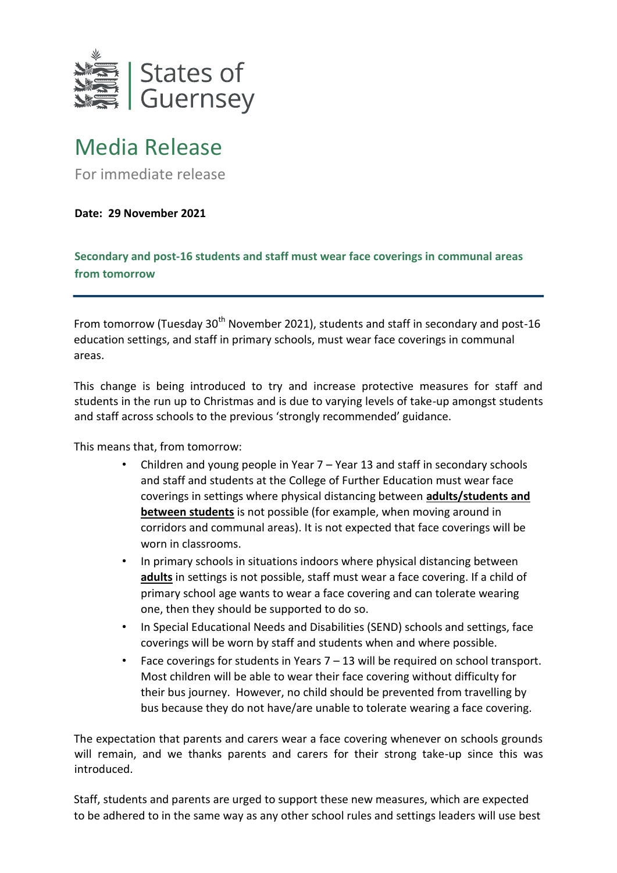

## Media Release

For immediate release

**Date: 29 November 2021** 

**Secondary and post-16 students and staff must wear face coverings in communal areas from tomorrow** 

From tomorrow (Tuesday 30<sup>th</sup> November 2021), students and staff in secondary and post-16 education settings, and staff in primary schools, must wear face coverings in communal areas.

This change is being introduced to try and increase protective measures for staff and students in the run up to Christmas and is due to varying levels of take-up amongst students and staff across schools to the previous 'strongly recommended' guidance.

This means that, from tomorrow:

- Children and young people in Year 7 Year 13 and staff in secondary schools and staff and students at the College of Further Education must wear face coverings in settings where physical distancing between **adults/students and between students** is not possible (for example, when moving around in corridors and communal areas). It is not expected that face coverings will be worn in classrooms.
- In primary schools in situations indoors where physical distancing between **adults** in settings is not possible, staff must wear a face covering. If a child of primary school age wants to wear a face covering and can tolerate wearing one, then they should be supported to do so.
- In Special Educational Needs and Disabilities (SEND) schools and settings, face coverings will be worn by staff and students when and where possible.
- Face coverings for students in Years  $7 13$  will be required on school transport. Most children will be able to wear their face covering without difficulty for their bus journey. However, no child should be prevented from travelling by bus because they do not have/are unable to tolerate wearing a face covering.

The expectation that parents and carers wear a face covering whenever on schools grounds will remain, and we thanks parents and carers for their strong take-up since this was introduced.

Staff, students and parents are urged to support these new measures, which are expected to be adhered to in the same way as any other school rules and settings leaders will use best